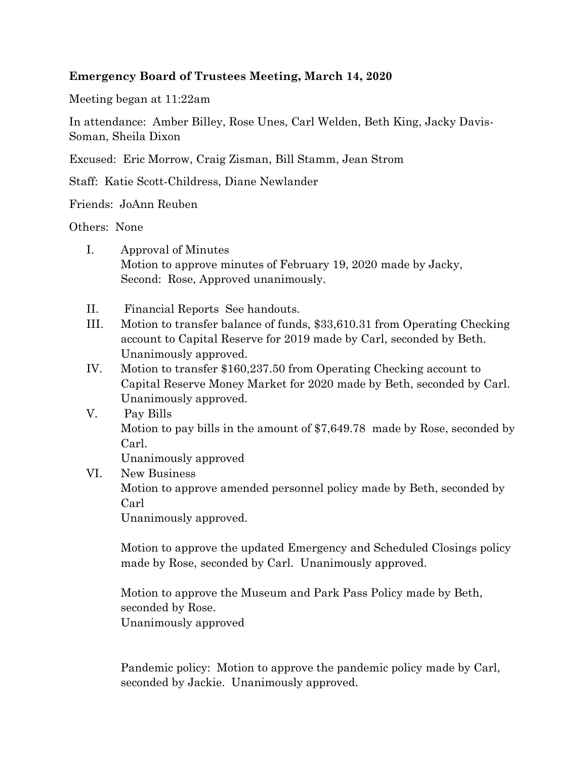## **Emergency Board of Trustees Meeting, March 14, 2020**

Meeting began at 11:22am

In attendance: Amber Billey, Rose Unes, Carl Welden, Beth King, Jacky Davis-Soman, Sheila Dixon

Excused: Eric Morrow, Craig Zisman, Bill Stamm, Jean Strom

Staff: Katie Scott-Childress, Diane Newlander

Friends: JoAnn Reuben

Others: None

- I. Approval of Minutes Motion to approve minutes of February 19, 2020 made by Jacky, Second: Rose, Approved unanimously.
- II. Financial Reports See handouts.
- III. Motion to transfer balance of funds, \$33,610.31 from Operating Checking account to Capital Reserve for 2019 made by Carl, seconded by Beth. Unanimously approved.
- IV. Motion to transfer \$160,237.50 from Operating Checking account to Capital Reserve Money Market for 2020 made by Beth, seconded by Carl. Unanimously approved.
- V. Pay Bills Motion to pay bills in the amount of \$7,649.78 made by Rose, seconded by Carl. Unanimously approved
- VI. New Business

Motion to approve amended personnel policy made by Beth, seconded by Carl

Unanimously approved.

Motion to approve the updated Emergency and Scheduled Closings policy made by Rose, seconded by Carl. Unanimously approved.

Motion to approve the Museum and Park Pass Policy made by Beth, seconded by Rose.

Unanimously approved

Pandemic policy: Motion to approve the pandemic policy made by Carl, seconded by Jackie. Unanimously approved.